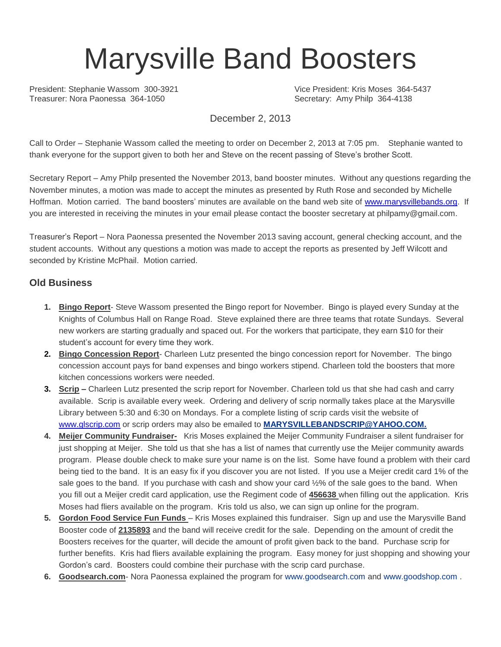# Marysville Band Boosters

President: Stephanie Wassom 300-3921 Vice President: Kris Moses 364-5437 Treasurer: Nora Paonessa 364-1050 Secretary: Amy Philp 364-4138

December 2, 2013

Call to Order – Stephanie Wassom called the meeting to order on December 2, 2013 at 7:05 pm. Stephanie wanted to thank everyone for the support given to both her and Steve on the recent passing of Steve's brother Scott.

Secretary Report – Amy Philp presented the November 2013, band booster minutes. Without any questions regarding the November minutes, a motion was made to accept the minutes as presented by Ruth Rose and seconded by Michelle Hoffman. Motion carried. The band boosters' minutes are available on the band web site of [www.marysvillebands.org.](http://www.marysvillebands.org/) If you are interested in receiving the minutes in your email please contact the booster secretary at philpamy@gmail.com.

Treasurer's Report – Nora Paonessa presented the November 2013 saving account, general checking account, and the student accounts. Without any questions a motion was made to accept the reports as presented by Jeff Wilcott and seconded by Kristine McPhail. Motion carried.

#### **Old Business**

- **1. Bingo Report** Steve Wassom presented the Bingo report for November. Bingo is played every Sunday at the Knights of Columbus Hall on Range Road. Steve explained there are three teams that rotate Sundays. Several new workers are starting gradually and spaced out. For the workers that participate, they earn \$10 for their student's account for every time they work.
- **2. Bingo Concession Report** Charleen Lutz presented the bingo concession report for November. The bingo concession account pays for band expenses and bingo workers stipend. Charleen told the boosters that more kitchen concessions workers were needed.
- **3. Scrip –** Charleen Lutz presented the scrip report for November. Charleen told us that she had cash and carry available. Scrip is available every week. Ordering and delivery of scrip normally takes place at the Marysville Library between 5:30 and 6:30 on Mondays. For a complete listing of scrip cards visit the website of [www.glscrip.com](http://www.glscrip.com/) or scrip orders may also be emailed to **[MARYSVILLEBANDSCRIP@YAHOO.COM.](http://us.f838.mail.yahoo.com/ym/Compose?To=MARYSVILLEBANDSCRIP@YAHOO.COM%20/%20_blank)**
- **4. Meijer Community Fundraiser-** Kris Moses explained the Meijer Community Fundraiser a silent fundraiser for just shopping at Meijer. She told us that she has a list of names that currently use the Meijer community awards program. Please double check to make sure your name is on the list. Some have found a problem with their card being tied to the band. It is an easy fix if you discover you are not listed. If you use a Meijer credit card 1% of the sale goes to the band. If you purchase with cash and show your card ½% of the sale goes to the band. When you fill out a Meijer credit card application, use the Regiment code of **456638** when filling out the application. Kris Moses had fliers available on the program. Kris told us also, we can sign up online for the program.
- **5. Gordon Food Service Fun Funds**  Kris Moses explained this fundraiser. Sign up and use the Marysville Band Booster code of **2135893** and the band will receive credit for the sale. Depending on the amount of credit the Boosters receives for the quarter, will decide the amount of profit given back to the band. Purchase scrip for further benefits. Kris had fliers available explaining the program. Easy money for just shopping and showing your Gordon's card. Boosters could combine their purchase with the scrip card purchase.
- **6. Goodsearch.com** Nora Paonessa explained the program for [www.goodsearch.com](http://www.goodsearch.com/) and [www.goodshop.com](http://www.goodshop.com/) .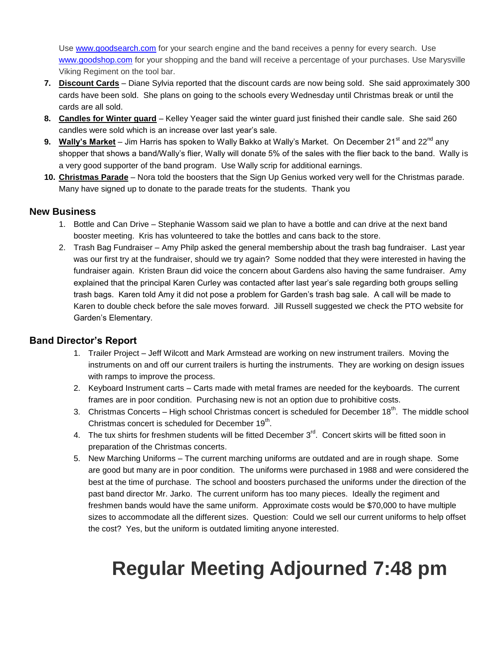Use [www.goodsearch.com](http://www.goodsearch.com/) for your search engine and the band receives a penny for every search. Use [www.goodshop.com](http://www.goodshop.com/) for your shopping and the band will receive a percentage of your purchases. Use Marysville Viking Regiment on the tool bar.

- **7. Discount Cards** Diane Sylvia reported that the discount cards are now being sold. She said approximately 300 cards have been sold. She plans on going to the schools every Wednesday until Christmas break or until the cards are all sold.
- **8. Candles for Winter guard** Kelley Yeager said the winter guard just finished their candle sale. She said 260 candles were sold which is an increase over last year's sale.
- 9. Wally's Market Jim Harris has spoken to Wally Bakko at Wally's Market. On December 21<sup>st</sup> and 22<sup>nd</sup> any shopper that shows a band/Wally's flier, Wally will donate 5% of the sales with the flier back to the band. Wally is a very good supporter of the band program. Use Wally scrip for additional earnings.
- **10. Christmas Parade** Nora told the boosters that the Sign Up Genius worked very well for the Christmas parade. Many have signed up to donate to the parade treats for the students. Thank you

#### **New Business**

- 1. Bottle and Can Drive Stephanie Wassom said we plan to have a bottle and can drive at the next band booster meeting. Kris has volunteered to take the bottles and cans back to the store.
- 2. Trash Bag Fundraiser Amy Philp asked the general membership about the trash bag fundraiser. Last year was our first try at the fundraiser, should we try again? Some nodded that they were interested in having the fundraiser again. Kristen Braun did voice the concern about Gardens also having the same fundraiser. Amy explained that the principal Karen Curley was contacted after last year's sale regarding both groups selling trash bags. Karen told Amy it did not pose a problem for Garden's trash bag sale. A call will be made to Karen to double check before the sale moves forward. Jill Russell suggested we check the PTO website for Garden's Elementary.

#### **Band Director's Report**

- 1. Trailer Project Jeff Wilcott and Mark Armstead are working on new instrument trailers. Moving the instruments on and off our current trailers is hurting the instruments. They are working on design issues with ramps to improve the process.
- 2. Keyboard Instrument carts Carts made with metal frames are needed for the keyboards. The current frames are in poor condition. Purchasing new is not an option due to prohibitive costs.
- 3. Christmas Concerts High school Christmas concert is scheduled for December  $18<sup>th</sup>$ . The middle school Christmas concert is scheduled for December 19<sup>th</sup>.
- 4. The tux shirts for freshmen students will be fitted December  $3<sup>rd</sup>$ . Concert skirts will be fitted soon in preparation of the Christmas concerts.
- 5. New Marching Uniforms The current marching uniforms are outdated and are in rough shape. Some are good but many are in poor condition. The uniforms were purchased in 1988 and were considered the best at the time of purchase. The school and boosters purchased the uniforms under the direction of the past band director Mr. Jarko. The current uniform has too many pieces. Ideally the regiment and freshmen bands would have the same uniform. Approximate costs would be \$70,000 to have multiple sizes to accommodate all the different sizes. Question: Could we sell our current uniforms to help offset the cost? Yes, but the uniform is outdated limiting anyone interested.

## **Regular Meeting Adjourned 7:48 pm**